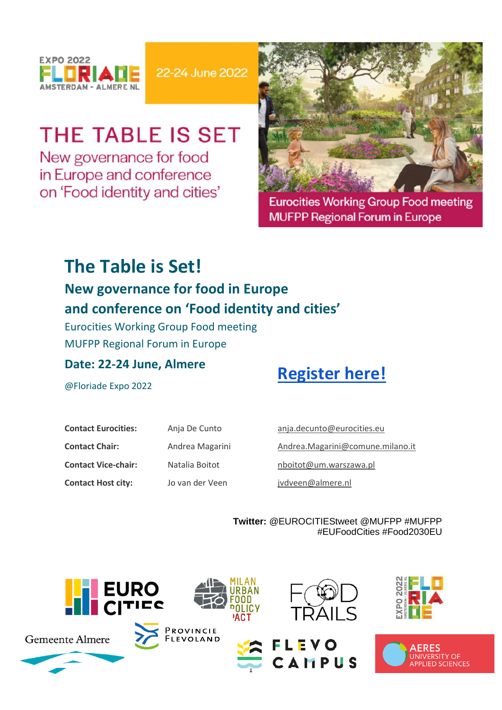

22-24 June 2022

# THE TABLE IS SET

New governance for food in Europe and conference on 'Food identity and cities'



**Eurocities Working Group Food meeting MUFPP Regional Forum in Europe** 

## **The Table is Set!**

### **New governance for food in Europe and conference on 'Food identity and cities'**

Eurocities Working Group Food meeting MUFPP Regional Forum in Europe

### **Date: 22-24 June, Almere**

## **[Register here!](https://www.eventbrite.com/e/the-table-is-set-new-governance-for-food-in-europe-registration-330644686157)**

@Floriade Expo 2022

| <b>Contact Eurocities:</b> | Anja De Cunto   |
|----------------------------|-----------------|
| <b>Contact Chair:</b>      | Andrea Magarini |
| <b>Contact Vice-chair:</b> | Natalia Boitot  |
| <b>Contact Host city:</b>  | Jo van der Veen |

[anja.decunto@eurocities.eu](mailto:anja.decunto@eurocities.eu)  [Andrea.Magarini@comune.milano.it](mailto:Andrea.Magarini@comune.milano.it)  [nboitot@um.warszawa.pl](mailto:nboitot@um.warszawa.pl)  [jvdveen@almere.nl](mailto:jvdveen@almere.nl)

**Twitter:** @EUROCITIEStweet @MUFPP #MUFPP #EUFoodCities #Food2030EU

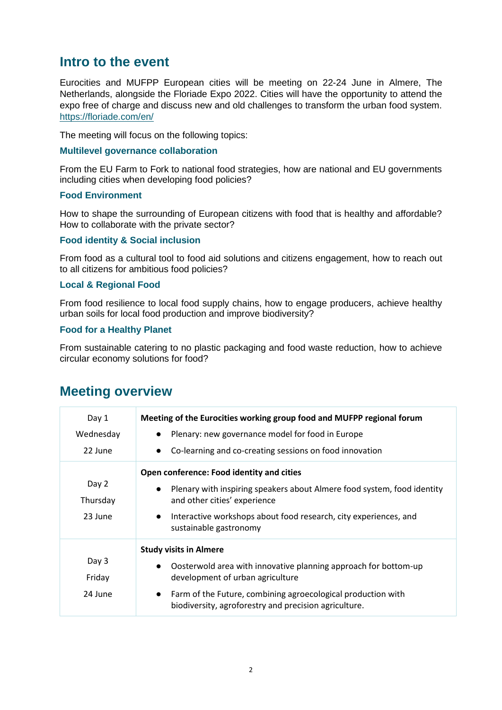### **Intro to the event**

Eurocities and MUFPP European cities will be meeting on 22-24 June in Almere, The Netherlands, alongside the Floriade Expo 2022. Cities will have the opportunity to attend the expo free of charge and discuss new and old challenges to transform the urban food system. <https://floriade.com/en/>

The meeting will focus on the following topics:

#### **Multilevel governance collaboration**

From the EU Farm to Fork to national food strategies, how are national and EU governments including cities when developing food policies?

#### **Food Environment**

How to shape the surrounding of European citizens with food that is healthy and affordable? How to collaborate with the private sector?

#### **Food identity & Social inclusion**

From food as a cultural tool to food aid solutions and citizens engagement, how to reach out to all citizens for ambitious food policies?

#### **Local & Regional Food**

From food resilience to local food supply chains, how to engage producers, achieve healthy urban soils for local food production and improve biodiversity?

#### **Food for a Healthy Planet**

From sustainable catering to no plastic packaging and food waste reduction, how to achieve circular economy solutions for food?

| Day 1<br>Wednesday<br>22 June | Meeting of the Eurocities working group food and MUFPP regional forum<br>Plenary: new governance model for food in Europe<br>$\bullet$<br>Co-learning and co-creating sessions on food innovation                                                                                       |
|-------------------------------|-----------------------------------------------------------------------------------------------------------------------------------------------------------------------------------------------------------------------------------------------------------------------------------------|
| Day 2<br>Thursday<br>23 June  | Open conference: Food identity and cities<br>Plenary with inspiring speakers about Almere food system, food identity<br>and other cities' experience<br>Interactive workshops about food research, city experiences, and<br>sustainable gastronomy                                      |
| Day 3<br>Friday<br>24 June    | <b>Study visits in Almere</b><br>Oosterwold area with innovative planning approach for bottom-up<br>$\bullet$<br>development of urban agriculture<br>Farm of the Future, combining agroecological production with<br>$\bullet$<br>biodiversity, agroforestry and precision agriculture. |

### **Meeting overview**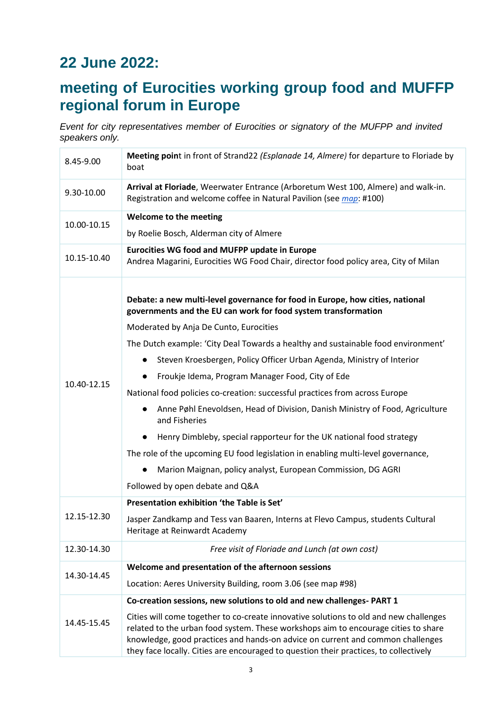## **22 June 2022:**

### **meeting of Eurocities working group food and MUFFP regional forum in Europe**

*Event for city representatives member of Eurocities or signatory of the MUFPP and invited speakers only.*

| 8.45-9.00   | Meeting point in front of Strand22 (Esplanade 14, Almere) for departure to Floriade by<br>boat                                                                                                                                                                                                                                                         |
|-------------|--------------------------------------------------------------------------------------------------------------------------------------------------------------------------------------------------------------------------------------------------------------------------------------------------------------------------------------------------------|
| 9.30-10.00  | Arrival at Floriade, Weerwater Entrance (Arboretum West 100, Almere) and walk-in.<br>Registration and welcome coffee in Natural Pavilion (see map: #100)                                                                                                                                                                                               |
| 10.00-10.15 | Welcome to the meeting                                                                                                                                                                                                                                                                                                                                 |
|             | by Roelie Bosch, Alderman city of Almere                                                                                                                                                                                                                                                                                                               |
| 10.15-10.40 | <b>Eurocities WG food and MUFPP update in Europe</b>                                                                                                                                                                                                                                                                                                   |
|             | Andrea Magarini, Eurocities WG Food Chair, director food policy area, City of Milan                                                                                                                                                                                                                                                                    |
|             | Debate: a new multi-level governance for food in Europe, how cities, national<br>governments and the EU can work for food system transformation<br>Moderated by Anja De Cunto, Eurocities                                                                                                                                                              |
|             | The Dutch example: 'City Deal Towards a healthy and sustainable food environment'                                                                                                                                                                                                                                                                      |
|             | Steven Kroesbergen, Policy Officer Urban Agenda, Ministry of Interior                                                                                                                                                                                                                                                                                  |
| 10.40-12.15 | Froukje Idema, Program Manager Food, City of Ede                                                                                                                                                                                                                                                                                                       |
|             | National food policies co-creation: successful practices from across Europe                                                                                                                                                                                                                                                                            |
|             | Anne Pøhl Enevoldsen, Head of Division, Danish Ministry of Food, Agriculture<br>and Fisheries                                                                                                                                                                                                                                                          |
|             | Henry Dimbleby, special rapporteur for the UK national food strategy                                                                                                                                                                                                                                                                                   |
|             | The role of the upcoming EU food legislation in enabling multi-level governance,                                                                                                                                                                                                                                                                       |
|             | Marion Maignan, policy analyst, European Commission, DG AGRI                                                                                                                                                                                                                                                                                           |
|             | Followed by open debate and Q&A                                                                                                                                                                                                                                                                                                                        |
|             | Presentation exhibition 'the Table is Set'                                                                                                                                                                                                                                                                                                             |
| 12.15-12.30 | Jasper Zandkamp and Tess van Baaren, Interns at Flevo Campus, students Cultural<br>Heritage at Reinwardt Academy                                                                                                                                                                                                                                       |
| 12.30-14.30 | Free visit of Floriade and Lunch (at own cost)                                                                                                                                                                                                                                                                                                         |
| 14.30-14.45 | Welcome and presentation of the afternoon sessions                                                                                                                                                                                                                                                                                                     |
|             | Location: Aeres University Building, room 3.06 (see map #98)                                                                                                                                                                                                                                                                                           |
| 14.45-15.45 | Co-creation sessions, new solutions to old and new challenges- PART 1                                                                                                                                                                                                                                                                                  |
|             | Cities will come together to co-create innovative solutions to old and new challenges<br>related to the urban food system. These workshops aim to encourage cities to share<br>knowledge, good practices and hands-on advice on current and common challenges<br>they face locally. Cities are encouraged to question their practices, to collectively |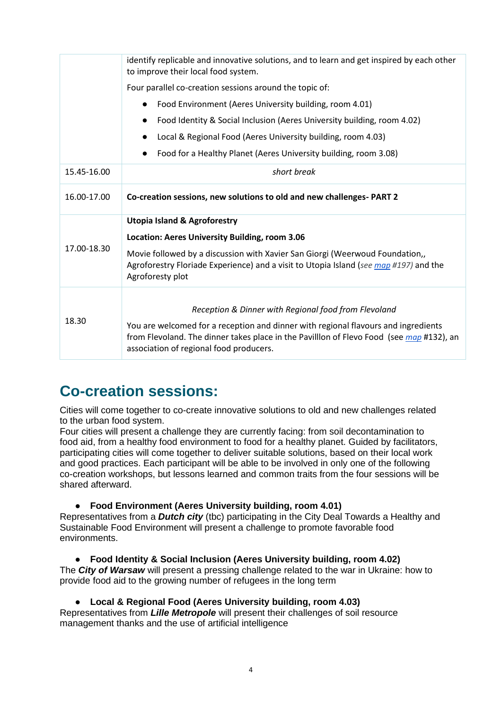|             | identify replicable and innovative solutions, and to learn and get inspired by each other<br>to improve their local food system.                                                                                          |
|-------------|---------------------------------------------------------------------------------------------------------------------------------------------------------------------------------------------------------------------------|
|             | Four parallel co-creation sessions around the topic of:                                                                                                                                                                   |
|             | Food Environment (Aeres University building, room 4.01)                                                                                                                                                                   |
|             | Food Identity & Social Inclusion (Aeres University building, room 4.02)                                                                                                                                                   |
|             | Local & Regional Food (Aeres University building, room 4.03)                                                                                                                                                              |
|             | Food for a Healthy Planet (Aeres University building, room 3.08)                                                                                                                                                          |
| 15.45-16.00 | short break                                                                                                                                                                                                               |
| 16.00-17.00 | Co-creation sessions, new solutions to old and new challenges-PART 2                                                                                                                                                      |
|             | <b>Utopia Island &amp; Agroforestry</b>                                                                                                                                                                                   |
|             | Location: Aeres University Building, room 3.06                                                                                                                                                                            |
| 17.00-18.30 | Movie followed by a discussion with Xavier San Giorgi (Weerwoud Foundation,,<br>Agroforestry Floriade Experience) and a visit to Utopia Island (see map #197) and the<br>Agroforesty plot                                 |
| 18.30       |                                                                                                                                                                                                                           |
|             | Reception & Dinner with Regional food from Flevoland                                                                                                                                                                      |
|             | You are welcomed for a reception and dinner with regional flavours and ingredients<br>from Flevoland. The dinner takes place in the Pavilllon of Flevo Food (see map #132), an<br>association of regional food producers. |

### **Co-creation sessions:**

Cities will come together to co-create innovative solutions to old and new challenges related to the urban food system.

Four cities will present a challenge they are currently facing: from soil decontamination to food aid, from a healthy food environment to food for a healthy planet. Guided by facilitators, participating cities will come together to deliver suitable solutions, based on their local work and good practices. Each participant will be able to be involved in only one of the following co-creation workshops, but lessons learned and common traits from the four sessions will be shared afterward.

● **Food Environment (Aeres University building, room 4.01)**

Representatives from a *Dutch city* (tbc) participating in the City Deal Towards a Healthy and Sustainable Food Environment will present a challenge to promote favorable food environments.

● **Food Identity & Social Inclusion (Aeres University building, room 4.02)** The *City of Warsaw* will present a pressing challenge related to the war in Ukraine: how to provide food aid to the growing number of refugees in the long term

● **Local & Regional Food (Aeres University building, room 4.03)** Representatives from *Lille Metropole* will present their challenges of soil resource

management thanks and the use of artificial intelligence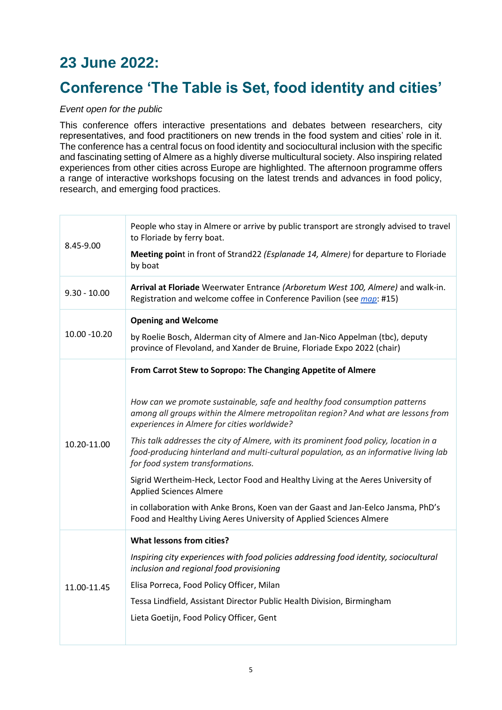## **23 June 2022:**

### **Conference 'The Table is Set, food identity and cities'**

#### *Event open for the public*

This conference offers interactive presentations and debates between researchers, city representatives, and food practitioners on new trends in the food system and cities' role in it. The conference has a central focus on food identity and sociocultural inclusion with the specific and fascinating setting of Almere as a highly diverse multicultural society. Also inspiring related experiences from other cities across Europe are highlighted. The afternoon programme offers a range of interactive workshops focusing on the latest trends and advances in food policy, research, and emerging food practices.

| 8.45-9.00      | People who stay in Almere or arrive by public transport are strongly advised to travel<br>to Floriade by ferry boat.<br>Meeting point in front of Strand22 (Esplanade 14, Almere) for departure to Floriade<br>by boat                                                                                                                                                                                                                                                                                                                                                                                                                                                                                                                                                               |
|----------------|--------------------------------------------------------------------------------------------------------------------------------------------------------------------------------------------------------------------------------------------------------------------------------------------------------------------------------------------------------------------------------------------------------------------------------------------------------------------------------------------------------------------------------------------------------------------------------------------------------------------------------------------------------------------------------------------------------------------------------------------------------------------------------------|
| $9.30 - 10.00$ | Arrival at Floriade Weerwater Entrance (Arboretum West 100, Almere) and walk-in.<br>Registration and welcome coffee in Conference Pavilion (see map: #15)                                                                                                                                                                                                                                                                                                                                                                                                                                                                                                                                                                                                                            |
| 10.00 - 10.20  | <b>Opening and Welcome</b><br>by Roelie Bosch, Alderman city of Almere and Jan-Nico Appelman (tbc), deputy<br>province of Flevoland, and Xander de Bruine, Floriade Expo 2022 (chair)                                                                                                                                                                                                                                                                                                                                                                                                                                                                                                                                                                                                |
| 10.20-11.00    | From Carrot Stew to Sopropo: The Changing Appetite of Almere<br>How can we promote sustainable, safe and healthy food consumption patterns<br>among all groups within the Almere metropolitan region? And what are lessons from<br>experiences in Almere for cities worldwide?<br>This talk addresses the city of Almere, with its prominent food policy, location in a<br>food-producing hinterland and multi-cultural population, as an informative living lab<br>for food system transformations.<br>Sigrid Wertheim-Heck, Lector Food and Healthy Living at the Aeres University of<br><b>Applied Sciences Almere</b><br>in collaboration with Anke Brons, Koen van der Gaast and Jan-Eelco Jansma, PhD's<br>Food and Healthy Living Aeres University of Applied Sciences Almere |
| 11.00-11.45    | <b>What lessons from cities?</b><br>Inspiring city experiences with food policies addressing food identity, sociocultural<br>inclusion and regional food provisioning<br>Elisa Porreca, Food Policy Officer, Milan<br>Tessa Lindfield, Assistant Director Public Health Division, Birmingham<br>Lieta Goetijn, Food Policy Officer, Gent                                                                                                                                                                                                                                                                                                                                                                                                                                             |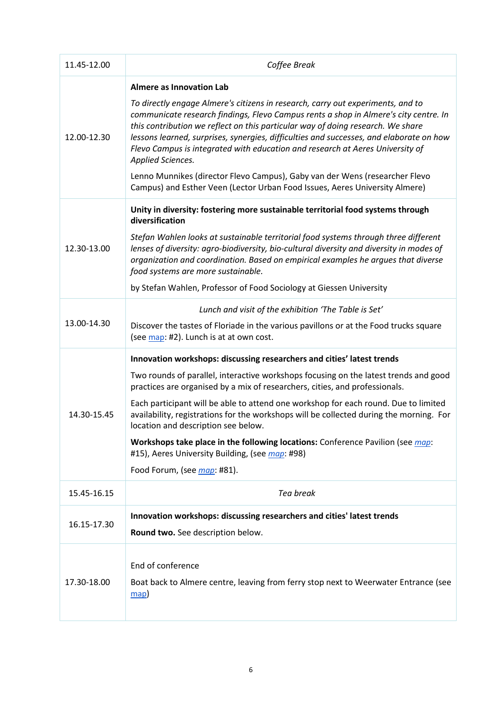| 11.45-12.00 | Coffee Break                                                                                                                                                                                                                                                                                                                                                                                                                                                                                                                                                                                                                                                 |
|-------------|--------------------------------------------------------------------------------------------------------------------------------------------------------------------------------------------------------------------------------------------------------------------------------------------------------------------------------------------------------------------------------------------------------------------------------------------------------------------------------------------------------------------------------------------------------------------------------------------------------------------------------------------------------------|
| 12.00-12.30 | <b>Almere as Innovation Lab</b><br>To directly engage Almere's citizens in research, carry out experiments, and to<br>communicate research findings, Flevo Campus rents a shop in Almere's city centre. In<br>this contribution we reflect on this particular way of doing research. We share<br>lessons learned, surprises, synergies, difficulties and successes, and elaborate on how<br>Flevo Campus is integrated with education and research at Aeres University of<br>Applied Sciences.<br>Lenno Munnikes (director Flevo Campus), Gaby van der Wens (researcher Flevo<br>Campus) and Esther Veen (Lector Urban Food Issues, Aeres University Almere) |
| 12.30-13.00 | Unity in diversity: fostering more sustainable territorial food systems through<br>diversification<br>Stefan Wahlen looks at sustainable territorial food systems through three different<br>lenses of diversity: agro-biodiversity, bio-cultural diversity and diversity in modes of<br>organization and coordination. Based on empirical examples he argues that diverse<br>food systems are more sustainable.<br>by Stefan Wahlen, Professor of Food Sociology at Giessen University                                                                                                                                                                      |
| 13.00-14.30 | Lunch and visit of the exhibition 'The Table is Set'<br>Discover the tastes of Floriade in the various pavillons or at the Food trucks square<br>(see map: #2). Lunch is at at own cost.                                                                                                                                                                                                                                                                                                                                                                                                                                                                     |
| 14.30-15.45 | Innovation workshops: discussing researchers and cities' latest trends<br>Two rounds of parallel, interactive workshops focusing on the latest trends and good<br>practices are organised by a mix of researchers, cities, and professionals.<br>Each participant will be able to attend one workshop for each round. Due to limited<br>availability, registrations for the workshops will be collected during the morning. For<br>location and description see below.<br>Workshops take place in the following locations: Conference Pavilion (see map:<br>#15), Aeres University Building, (see map: #98)<br>Food Forum, (see <i>map</i> : #81).           |
| 15.45-16.15 | Tea break                                                                                                                                                                                                                                                                                                                                                                                                                                                                                                                                                                                                                                                    |
| 16.15-17.30 | Innovation workshops: discussing researchers and cities' latest trends<br>Round two. See description below.                                                                                                                                                                                                                                                                                                                                                                                                                                                                                                                                                  |
| 17.30-18.00 | End of conference<br>Boat back to Almere centre, leaving from ferry stop next to Weerwater Entrance (see<br>$\frac{map}{}$                                                                                                                                                                                                                                                                                                                                                                                                                                                                                                                                   |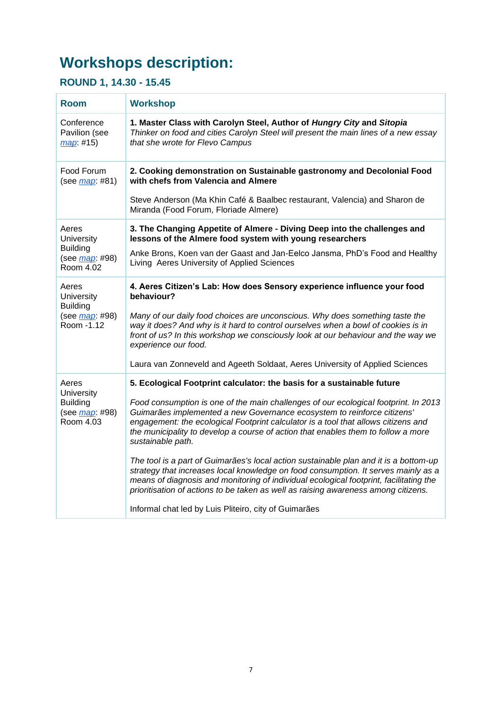## **Workshops description:**

### **ROUND 1, 14.30 - 15.45**

| <b>Room</b>                                                                     | <b>Workshop</b>                                                                                                                                                                                                                                                                                                                                                |
|---------------------------------------------------------------------------------|----------------------------------------------------------------------------------------------------------------------------------------------------------------------------------------------------------------------------------------------------------------------------------------------------------------------------------------------------------------|
| Conference<br>Pavilion (see<br>map: #15)                                        | 1. Master Class with Carolyn Steel, Author of Hungry City and Sitopia<br>Thinker on food and cities Carolyn Steel will present the main lines of a new essay<br>that she wrote for Flevo Campus                                                                                                                                                                |
| Food Forum<br>(see <i>map</i> : #81)                                            | 2. Cooking demonstration on Sustainable gastronomy and Decolonial Food<br>with chefs from Valencia and Almere                                                                                                                                                                                                                                                  |
|                                                                                 | Steve Anderson (Ma Khin Café & Baalbec restaurant, Valencia) and Sharon de<br>Miranda (Food Forum, Floriade Almere)                                                                                                                                                                                                                                            |
| Aeres<br>University<br><b>Building</b><br>(see <i>map</i> : #98)<br>Room 4.02   | 3. The Changing Appetite of Almere - Diving Deep into the challenges and<br>lessons of the Almere food system with young researchers                                                                                                                                                                                                                           |
|                                                                                 | Anke Brons, Koen van der Gaast and Jan-Eelco Jansma, PhD's Food and Healthy<br>Living Aeres University of Applied Sciences                                                                                                                                                                                                                                     |
| Aeres<br>University<br><b>Building</b><br>(see <i>map</i> : #98)<br>Room - 1.12 | 4. Aeres Citizen's Lab: How does Sensory experience influence your food<br>behaviour?                                                                                                                                                                                                                                                                          |
|                                                                                 | Many of our daily food choices are unconscious. Why does something taste the<br>way it does? And why is it hard to control ourselves when a bowl of cookies is in<br>front of us? In this workshop we consciously look at our behaviour and the way we<br>experience our food.                                                                                 |
|                                                                                 | Laura van Zonneveld and Ageeth Soldaat, Aeres University of Applied Sciences                                                                                                                                                                                                                                                                                   |
| Aeres<br>University<br><b>Building</b><br>(see <i>map</i> : #98)<br>Room 4.03   | 5. Ecological Footprint calculator: the basis for a sustainable future                                                                                                                                                                                                                                                                                         |
|                                                                                 | Food consumption is one of the main challenges of our ecological footprint. In 2013<br>Guimarães implemented a new Governance ecosystem to reinforce citizens'<br>engagement: the ecological Footprint calculator is a tool that allows citizens and<br>the municipality to develop a course of action that enables them to follow a more<br>sustainable path. |
|                                                                                 | The tool is a part of Guimarães's local action sustainable plan and it is a bottom-up<br>strategy that increases local knowledge on food consumption. It serves mainly as a<br>means of diagnosis and monitoring of individual ecological footprint, facilitating the<br>prioritisation of actions to be taken as well as raising awareness among citizens.    |
|                                                                                 | Informal chat led by Luis Pliteiro, city of Guimarães                                                                                                                                                                                                                                                                                                          |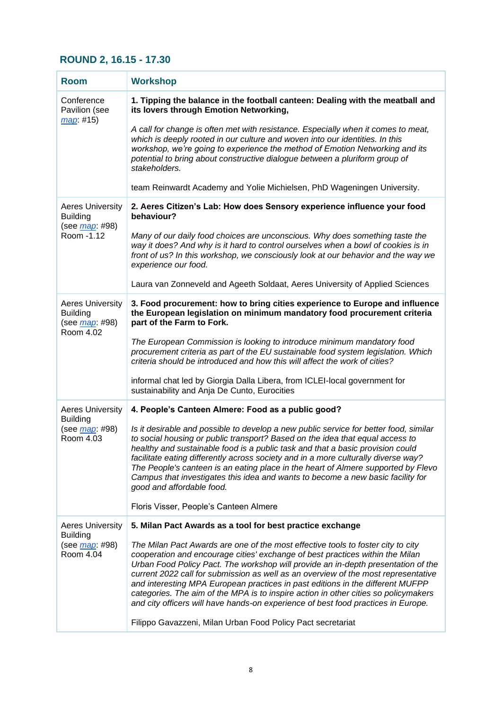### **ROUND 2, 16.15 - 17.30**

| <b>Room</b>                                                                       | <b>Workshop</b>                                                                                                                                                                                                                                                                                                                                                                                                                                                                                                                                                                                            |
|-----------------------------------------------------------------------------------|------------------------------------------------------------------------------------------------------------------------------------------------------------------------------------------------------------------------------------------------------------------------------------------------------------------------------------------------------------------------------------------------------------------------------------------------------------------------------------------------------------------------------------------------------------------------------------------------------------|
| Conference<br>Pavilion (see<br>map: #15)                                          | 1. Tipping the balance in the football canteen: Dealing with the meatball and<br>its lovers through Emotion Networking,                                                                                                                                                                                                                                                                                                                                                                                                                                                                                    |
|                                                                                   | A call for change is often met with resistance. Especially when it comes to meat,<br>which is deeply rooted in our culture and woven into our identities. In this<br>workshop, we're going to experience the method of Emotion Networking and its<br>potential to bring about constructive dialogue between a pluriform group of<br>stakeholders.                                                                                                                                                                                                                                                          |
|                                                                                   | team Reinwardt Academy and Yolie Michielsen, PhD Wageningen University.                                                                                                                                                                                                                                                                                                                                                                                                                                                                                                                                    |
| <b>Aeres University</b><br><b>Building</b>                                        | 2. Aeres Citizen's Lab: How does Sensory experience influence your food<br>behaviour?                                                                                                                                                                                                                                                                                                                                                                                                                                                                                                                      |
| (see <i>map</i> : #98)<br>Room - 1.12                                             | Many of our daily food choices are unconscious. Why does something taste the<br>way it does? And why is it hard to control ourselves when a bowl of cookies is in<br>front of us? In this workshop, we consciously look at our behavior and the way we<br>experience our food.                                                                                                                                                                                                                                                                                                                             |
|                                                                                   | Laura van Zonneveld and Ageeth Soldaat, Aeres University of Applied Sciences                                                                                                                                                                                                                                                                                                                                                                                                                                                                                                                               |
| <b>Aeres University</b><br><b>Building</b><br>(see <i>map</i> : #98)<br>Room 4.02 | 3. Food procurement: how to bring cities experience to Europe and influence<br>the European legislation on minimum mandatory food procurement criteria<br>part of the Farm to Fork.                                                                                                                                                                                                                                                                                                                                                                                                                        |
|                                                                                   | The European Commission is looking to introduce minimum mandatory food<br>procurement criteria as part of the EU sustainable food system legislation. Which<br>criteria should be introduced and how this will affect the work of cities?                                                                                                                                                                                                                                                                                                                                                                  |
|                                                                                   | informal chat led by Giorgia Dalla Libera, from ICLEI-local government for<br>sustainability and Anja De Cunto, Eurocities                                                                                                                                                                                                                                                                                                                                                                                                                                                                                 |
| <b>Aeres University</b><br><b>Building</b>                                        | 4. People's Canteen Almere: Food as a public good?                                                                                                                                                                                                                                                                                                                                                                                                                                                                                                                                                         |
| (see <i>map</i> : #98)<br>Room 4.03                                               | Is it desirable and possible to develop a new public service for better food, similar<br>to social housing or public transport? Based on the idea that equal access to<br>healthy and sustainable food is a public task and that a basic provision could<br>facilitate eating differently across society and in a more culturally diverse way?<br>The People's canteen is an eating place in the heart of Almere supported by Flevo<br>Campus that investigates this idea and wants to become a new basic facility for<br>good and affordable food.                                                        |
|                                                                                   | Floris Visser, People's Canteen Almere                                                                                                                                                                                                                                                                                                                                                                                                                                                                                                                                                                     |
| <b>Aeres University</b><br><b>Building</b><br>(see <u>map</u> : #98)<br>Room 4.04 | 5. Milan Pact Awards as a tool for best practice exchange                                                                                                                                                                                                                                                                                                                                                                                                                                                                                                                                                  |
|                                                                                   | The Milan Pact Awards are one of the most effective tools to foster city to city<br>cooperation and encourage cities' exchange of best practices within the Milan<br>Urban Food Policy Pact. The workshop will provide an in-depth presentation of the<br>current 2022 call for submission as well as an overview of the most representative<br>and interesting MPA European practices in past editions in the different MUFPP<br>categories. The aim of the MPA is to inspire action in other cities so policymakers<br>and city officers will have hands-on experience of best food practices in Europe. |
|                                                                                   | Filippo Gavazzeni, Milan Urban Food Policy Pact secretariat                                                                                                                                                                                                                                                                                                                                                                                                                                                                                                                                                |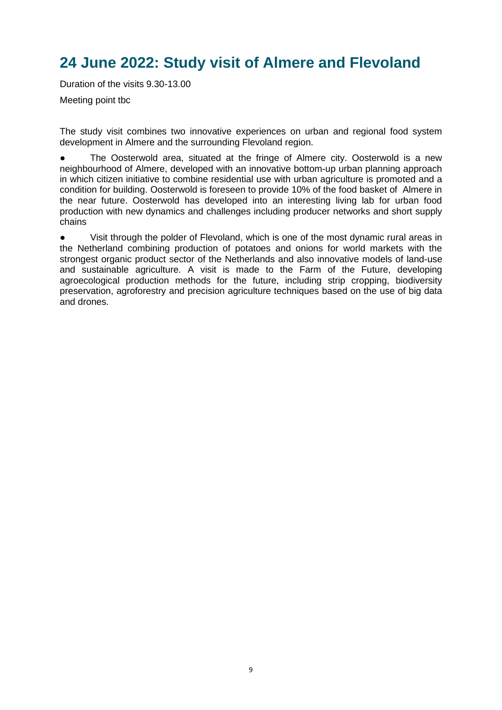### **24 June 2022: Study visit of Almere and Flevoland**

Duration of the visits 9.30-13.00

Meeting point tbc

The study visit combines two innovative experiences on urban and regional food system development in Almere and the surrounding Flevoland region.

The Oosterwold area, situated at the fringe of Almere city. Oosterwold is a new neighbourhood of Almere, developed with an innovative bottom-up urban planning approach in which citizen initiative to combine residential use with urban agriculture is promoted and a condition for building. Oosterwold is foreseen to provide 10% of the food basket of Almere in the near future. Oosterwold has developed into an interesting living lab for urban food production with new dynamics and challenges including producer networks and short supply chains

● Visit through the polder of Flevoland, which is one of the most dynamic rural areas in the Netherland combining production of potatoes and onions for world markets with the strongest organic product sector of the Netherlands and also innovative models of land-use and sustainable agriculture. A visit is made to the Farm of the Future, developing agroecological production methods for the future, including strip cropping, biodiversity preservation, agroforestry and precision agriculture techniques based on the use of big data and drones.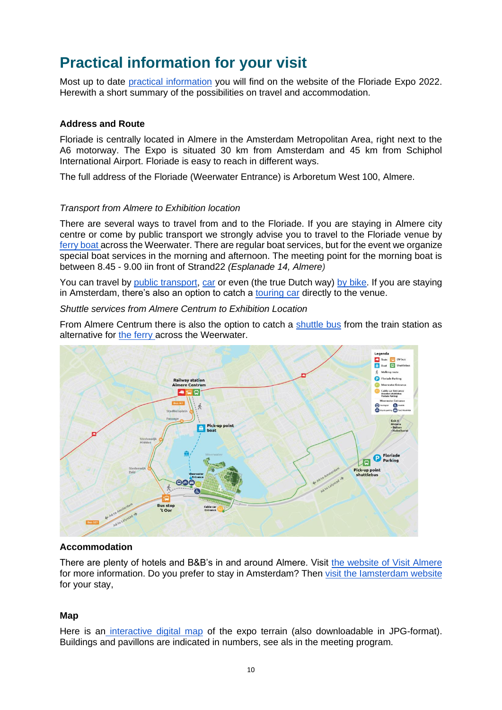### **Practical information for your visit**

Most up to date [practical information](https://floriade.com/en/practical-information/) you will find on the website of the Floriade Expo 2022. Herewith a short summary of the possibilities on travel and accommodation.

#### **Address and Route**

Floriade is centrally located in Almere in the Amsterdam Metropolitan Area, right next to the A6 motorway. The Expo is situated 30 km from Amsterdam and 45 km from Schiphol International Airport. Floriade is easy to reach in different ways.

The full address of the Floriade (Weerwater Entrance) is Arboretum West 100, Almere.

#### *Transport from Almere to Exhibition location*

There are several ways to travel from and to the Floriade. If you are staying in Almere city centre or come by public transport we strongly advise you to travel to the Floriade venue by [ferry boat a](https://floriade.com/en/price-information/boat/)cross the Weerwater. There are regular boat services, but for the event we organize special boat services in the morning and afternoon. The meeting point for the morning boat is between 8.45 - 9.00 iin front of Strand22 *(Esplanade 14, Almere)*

You can travel by [public transport,](https://floriade.com/en/address-and-route/public-transport/) [car](https://floriade.com/en/address-and-route/by-car/) or even (the true Dutch way) [by bike.](https://floriade.com/en/address-and-route/by-bike/) If you are staying in Amsterdam, there's also an option to catch a [touring car](https://floriade.com/en/address-and-route/by-touring-bus-from-amsterdam/) directly to the venue.

*Shuttle services from Almere Centrum to Exhibition Location*

From Almere Centrum there is also the option to catch a [shuttle bus](https://floriade.com/en/price-information/boat/%20https:/floriade.com/en/price-information/shuttle-bus/) from the train station as alternative for [the ferry a](https://floriade.com/en/price-information/boat/)cross the Weerwater.



#### **Accommodation**

There are plenty of hotels and B&B's in and around Almere. Visit [the website of Visit Almere](https://www.visitalmere.com/en/plan/staying-overnight) for more information. Do you prefer to stay in Amsterdam? Then visit the lamsterdam website for your stay,

#### **Map**

Here is an [interactive digital map](https://floriade.com/en/map/) of the expo terrain (also downloadable in JPG-format). Buildings and pavillons are indicated in numbers, see als in the meeting program.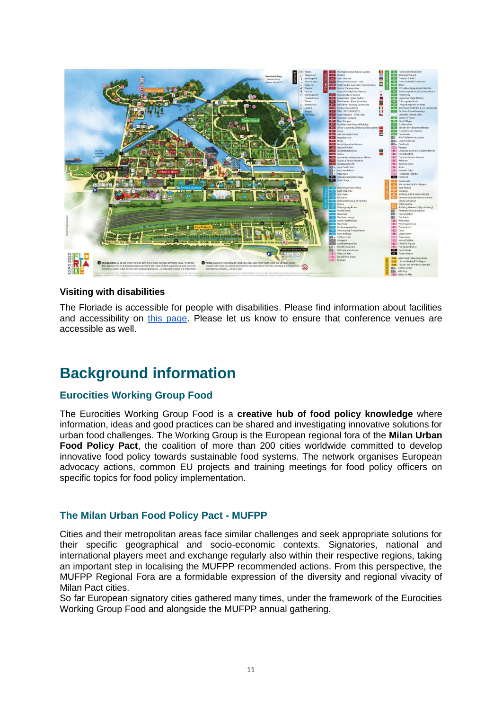

### **Visiting with disabilities**

The Floriade is accessible for people with disabilities. Please find information about facilities and accessibility on [this page.](https://floriade.com/en/practical-information/visitors-with-disabilities/) Please let us know to ensure that conference venues are accessible as well.

### **Background information**

### **Eurocities Working Group Food**

The Eurocities Working Group Food is a **creative hub of food policy knowledge** where information, ideas and good practices can be shared and investigating innovative solutions for urban food challenges. The Working Group is the European regional fora of the **Milan Urban Food Policy Pact**, the coalition of more than 200 cities worldwide committed to develop innovative food policy towards sustainable food systems. The network organises European advocacy actions, common EU projects and training meetings for food policy officers on specific topics for food policy implementation.

### **The Milan Urban Food Policy Pact - MUFPP**

Cities and their metropolitan areas face similar challenges and seek appropriate solutions for their specific geographical and socio-economic contexts. Signatories, national and international players meet and exchange regularly also within their respective regions, taking an important step in localising the MUFPP recommended actions. From this perspective, the MUFPP Regional Fora are a formidable expression of the diversity and regional vivacity of Milan Pact cities.

So far European signatory cities gathered many times, under the framework of the Eurocities Working Group Food and alongside the MUFPP annual gathering.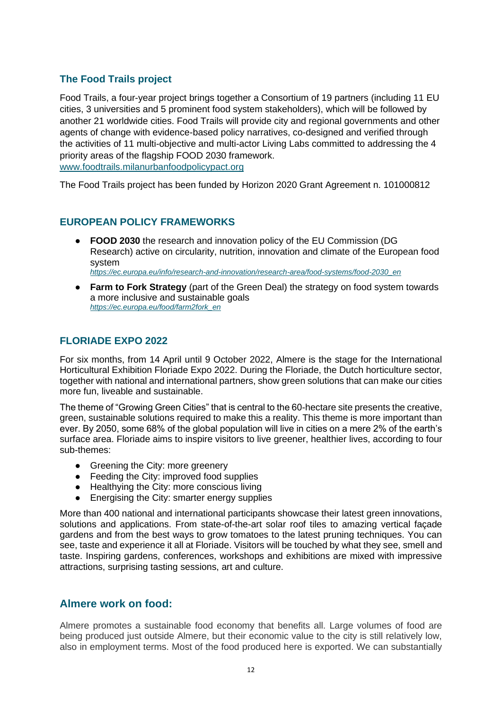### **The Food Trails project**

Food Trails, a four-year project brings together a Consortium of 19 partners (including 11 EU cities, 3 universities and 5 prominent food system stakeholders), which will be followed by another 21 worldwide cities. Food Trails will provide city and regional governments and other agents of change with evidence-based policy narratives, co-designed and verified through the activities of 11 multi-objective and multi-actor Living Labs committed to addressing the 4 priority areas of the flagship FOOD 2030 framework. [www.foodtrails.milanurbanfoodpolicypact.org](http://www.foodtrails.milanurbanfoodpolicypact.org/)

The Food Trails project has been funded by Horizon 2020 Grant Agreement n. 101000812

### **EUROPEAN POLICY FRAMEWORKS**

● **FOOD 2030** the research and innovation policy of the EU Commission (DG Research) active on circularity, nutrition, innovation and climate of the European food system

*[https://ec.europa.eu/info/research-and-innovation/research-area/food-systems/food-2030\\_en](https://ec.europa.eu/info/research-and-innovation/research-area/food-systems/food-2030_en)*

● **Farm to Fork Strategy** (part of the Green Deal) the strategy on food system towards a more inclusive and sustainable goals *[https://ec.europa.eu/food/farm2fork\\_en](https://ec.europa.eu/food/farm2fork_en)*

### **FLORIADE EXPO 2022**

For six months, from 14 April until 9 October 2022, Almere is the stage for the International Horticultural Exhibition Floriade Expo 2022. During the Floriade, the Dutch horticulture sector, together with national and international partners, show green solutions that can make our cities more fun, liveable and sustainable.

The theme of "Growing Green Cities" that is central to the 60-hectare site presents the creative, green, sustainable solutions required to make this a reality. This theme is more important than ever. By 2050, some 68% of the global population will live in cities on a mere 2% of the earth's surface area. Floriade aims to inspire visitors to live greener, healthier lives, according to four sub-themes:

- Greening the City: more greenery
- Feeding the City: improved food supplies
- Healthying the City: more conscious living
- Energising the City: smarter energy supplies

More than 400 national and international participants showcase their latest green innovations, solutions and applications. From state-of-the-art solar roof tiles to amazing vertical façade gardens and from the best ways to grow tomatoes to the latest pruning techniques. You can see, taste and experience it all at Floriade. Visitors will be touched by what they see, smell and taste. Inspiring gardens, conferences, workshops and exhibitions are mixed with impressive attractions, surprising tasting sessions, art and culture.

### **Almere work on food:**

Almere promotes a sustainable food economy that benefits all. Large volumes of food are being produced just outside Almere, but their economic value to the city is still relatively low, also in employment terms. Most of the food produced here is exported. We can substantially